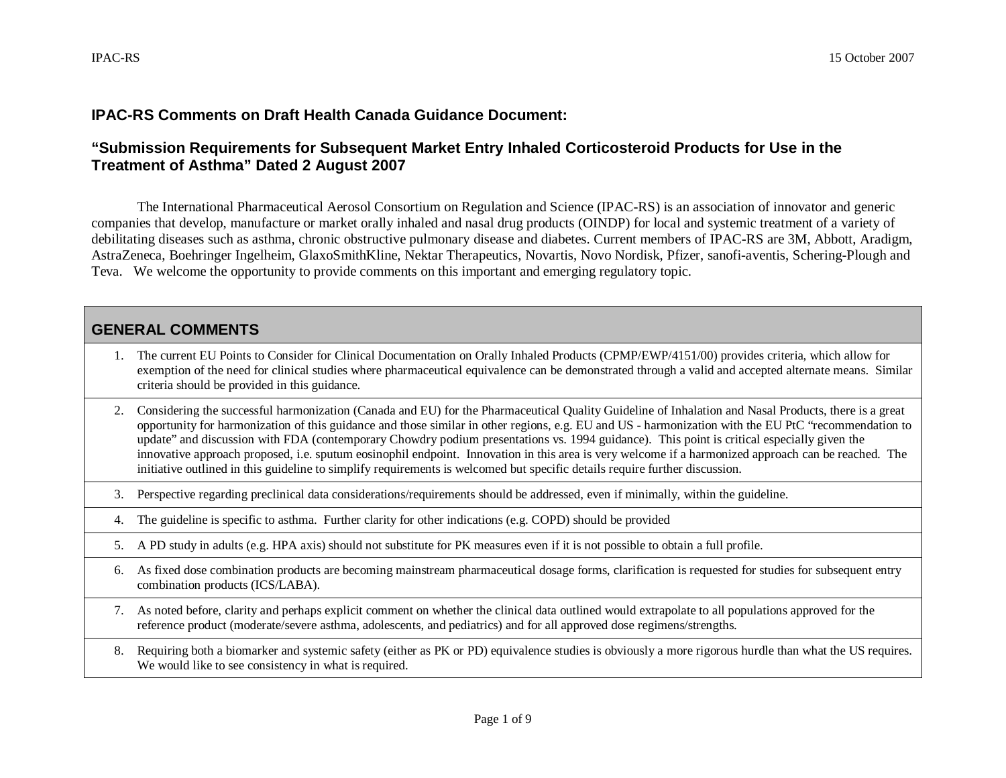## **IPAC-RS Comments on Draft Health Canada Guidance Document:**

## **"Submission Requirements for Subsequent Market Entry Inhaled Corticosteroid Products for Use in the Treatment of Asthma" Dated 2 August 2007**

The International Pharmaceutical Aerosol Consortium on Regulation and Science (IPAC-RS) is an association of innovator and generic companies that develop, manufacture or market orally inhaled and nasal drug products (OINDP) for local and systemic treatment of a variety of debilitating diseases such as asthma, chronic obstructive pulmonary disease and diabetes. Current members of IPAC-RS are 3M, Abbott, Aradigm, AstraZeneca, Boehringer Ingelheim, GlaxoSmithKline, Nektar Therapeutics, Novartis, Novo Nordisk, Pfizer, sanofi-aventis, Schering-Plough and Teva. We welcome the opportunity to provide comments on this important and emerging regulatory topic.

## **GENERAL COMMENTS**

- 1. The current EU Points to Consider for Clinical Documentation on Orally Inhaled Products (CPMP/EWP/4151/00) provides criteria, which allow for exemption of the need for clinical studies where pharmaceutical equivalence can be demonstrated through a valid and accepted alternate means. Similar criteria should be provided in this guidance.
- 2. Considering the successful harmonization (Canada and EU) for the Pharmaceutical Quality Guideline of Inhalation and Nasal Products, there is a great opportunity for harmonization of this guidance and those similar in other regions, e.g. EU and US - harmonization with the EU PtC "recommendation to update" and discussion with FDA (contemporary Chowdry podium presentations vs. 1994 guidance). This point is critical especially given the innovative approach proposed, i.e. sputum eosinophil endpoint. Innovation in this area is very welcome if a harmonized approach can be reached. The initiative outlined in this guideline to simplify requirements is welcomed but specific details require further discussion.
- 3. Perspective regarding preclinical data considerations/requirements should be addressed, even if minimally, within the guideline.
- 4. The guideline is specific to asthma. Further clarity for other indications (e.g. COPD) should be provided
- 5. A PD study in adults (e.g. HPA axis) should not substitute for PK measures even if it is not possible to obtain a full profile.
- 6. As fixed dose combination products are becoming mainstream pharmaceutical dosage forms, clarification is requested for studies for subsequent entry combination products (ICS/LABA).
- 7. As noted before, clarity and perhaps explicit comment on whether the clinical data outlined would extrapolate to all populations approved for the reference product (moderate/severe asthma, adolescents, and pediatrics) and for all approved dose regimens/strengths.
- 8. Requiring both a biomarker and systemic safety (either as PK or PD) equivalence studies is obviously a more rigorous hurdle than what the US requires. We would like to see consistency in what is required.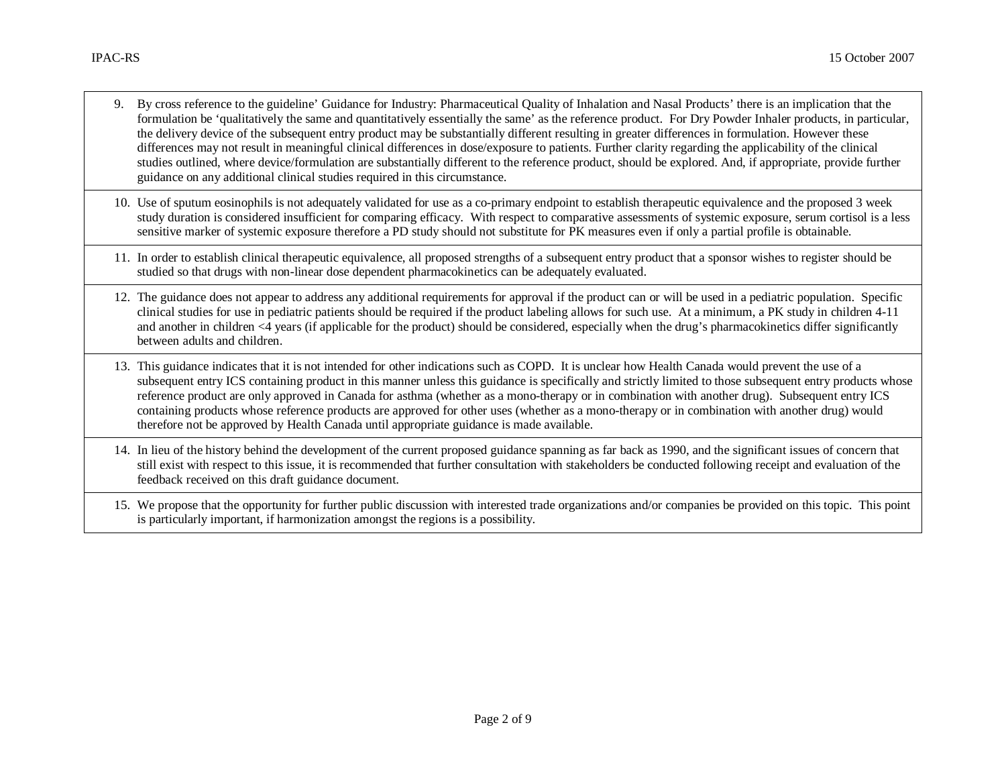- 9. By cross reference to the guideline' Guidance for Industry: Pharmaceutical Quality of Inhalation and Nasal Products' there is an implication that the formulation be 'qualitatively the same and quantitatively essentially the same' as the reference product. For Dry Powder Inhaler products, in particular, the delivery device of the subsequent entry product may be substantially different resulting in greater differences in formulation. However these differences may not result in meaningful clinical differences in dose/exposure to patients. Further clarity regarding the applicability of the clinical studies outlined, where device/formulation are substantially different to the reference product, should be explored. And, if appropriate, provide further guidance on any additional clinical studies required in this circumstance.
- 10. Use of sputum eosinophils is not adequately validated for use as a co-primary endpoint to establish therapeutic equivalence and the proposed 3 week study duration is considered insufficient for comparing efficacy. With respect to comparative assessments of systemic exposure, serum cortisol is a less sensitive marker of systemic exposure therefore a PD study should not substitute for PK measures even if only a partial profile is obtainable.
- 11. In order to establish clinical therapeutic equivalence, all proposed strengths of a subsequent entry product that a sponsor wishes to register should be studied so that drugs with non-linear dose dependent pharmacokinetics can be adequately evaluated.
- 12. The guidance does not appear to address any additional requirements for approval if the product can or will be used in a pediatric population. Specific clinical studies for use in pediatric patients should be required if the product labeling allows for such use. At a minimum, a PK study in children 4-11 and another in children <4 years (if applicable for the product) should be considered, especially when the drug's pharmacokinetics differ significantly between adults and children.
- 13. This guidance indicates that it is not intended for other indications such as COPD. It is unclear how Health Canada would prevent the use of a subsequent entry ICS containing product in this manner unless this guidance is specifically and strictly limited to those subsequent entry products whose reference product are only approved in Canada for asthma (whether as a mono-therapy or in combination with another drug). Subsequent entry ICS containing products whose reference products are approved for other uses (whether as a mono-therapy or in combination with another drug) would therefore not be approved by Health Canada until appropriate guidance is made available.
- 14. In lieu of the history behind the development of the current proposed guidance spanning as far back as 1990, and the significant issues of concern that still exist with respect to this issue, it is recommended that further consultation with stakeholders be conducted following receipt and evaluation of the feedback received on this draft guidance document.
- 15. We propose that the opportunity for further public discussion with interested trade organizations and/or companies be provided on this topic. This point is particularly important, if harmonization amongst the regions is a possibility.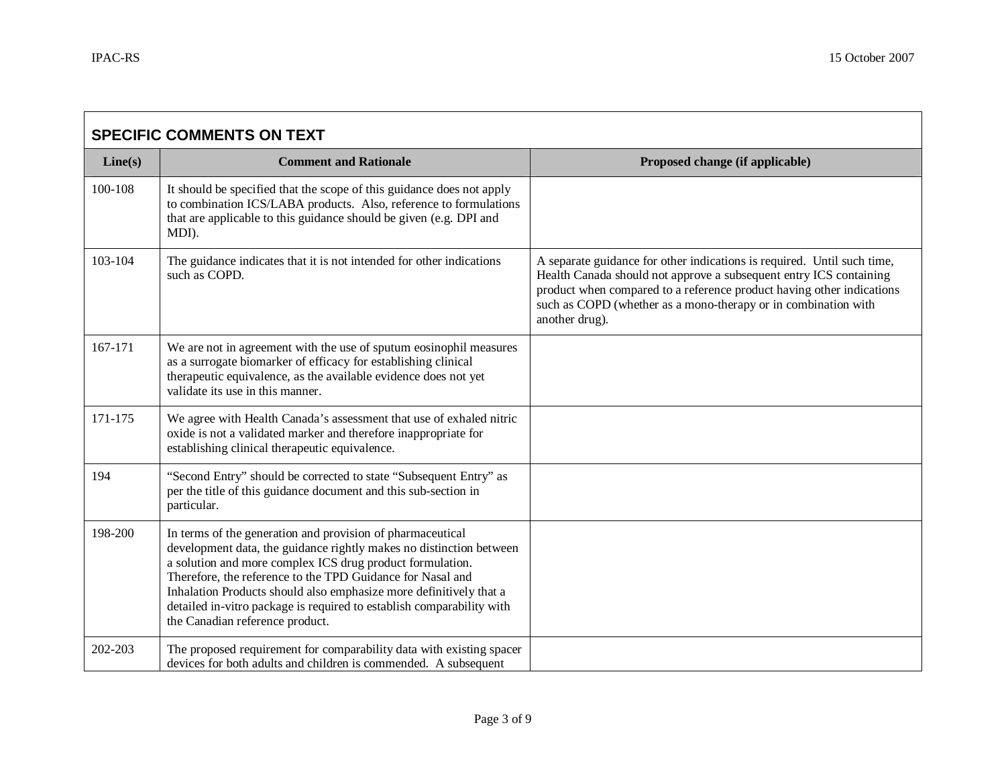$\blacksquare$ 

۰

| <b>SPECIFIC COMMENTS ON TEXT</b> |                                                                                                                                                                                                                                                                                                                                                                                                                                                |                                                                                                                                                                                                                                                                                                            |
|----------------------------------|------------------------------------------------------------------------------------------------------------------------------------------------------------------------------------------------------------------------------------------------------------------------------------------------------------------------------------------------------------------------------------------------------------------------------------------------|------------------------------------------------------------------------------------------------------------------------------------------------------------------------------------------------------------------------------------------------------------------------------------------------------------|
| Line(s)                          | <b>Comment and Rationale</b>                                                                                                                                                                                                                                                                                                                                                                                                                   | Proposed change (if applicable)                                                                                                                                                                                                                                                                            |
| 100-108                          | It should be specified that the scope of this guidance does not apply<br>to combination ICS/LABA products. Also, reference to formulations<br>that are applicable to this guidance should be given (e.g. DPI and<br>MDI).                                                                                                                                                                                                                      |                                                                                                                                                                                                                                                                                                            |
| 103-104                          | The guidance indicates that it is not intended for other indications<br>such as COPD.                                                                                                                                                                                                                                                                                                                                                          | A separate guidance for other indications is required. Until such time,<br>Health Canada should not approve a subsequent entry ICS containing<br>product when compared to a reference product having other indications<br>such as COPD (whether as a mono-therapy or in combination with<br>another drug). |
| 167-171                          | We are not in agreement with the use of sputum eosinophil measures<br>as a surrogate biomarker of efficacy for establishing clinical<br>therapeutic equivalence, as the available evidence does not yet<br>validate its use in this manner.                                                                                                                                                                                                    |                                                                                                                                                                                                                                                                                                            |
| 171-175                          | We agree with Health Canada's assessment that use of exhaled nitric<br>oxide is not a validated marker and therefore inappropriate for<br>establishing clinical therapeutic equivalence.                                                                                                                                                                                                                                                       |                                                                                                                                                                                                                                                                                                            |
| 194                              | "Second Entry" should be corrected to state "Subsequent Entry" as<br>per the title of this guidance document and this sub-section in<br>particular.                                                                                                                                                                                                                                                                                            |                                                                                                                                                                                                                                                                                                            |
| 198-200                          | In terms of the generation and provision of pharmaceutical<br>development data, the guidance rightly makes no distinction between<br>a solution and more complex ICS drug product formulation.<br>Therefore, the reference to the TPD Guidance for Nasal and<br>Inhalation Products should also emphasize more definitively that a<br>detailed in-vitro package is required to establish comparability with<br>the Canadian reference product. |                                                                                                                                                                                                                                                                                                            |
| 202-203                          | The proposed requirement for comparability data with existing spacer<br>devices for both adults and children is commended. A subsequent                                                                                                                                                                                                                                                                                                        |                                                                                                                                                                                                                                                                                                            |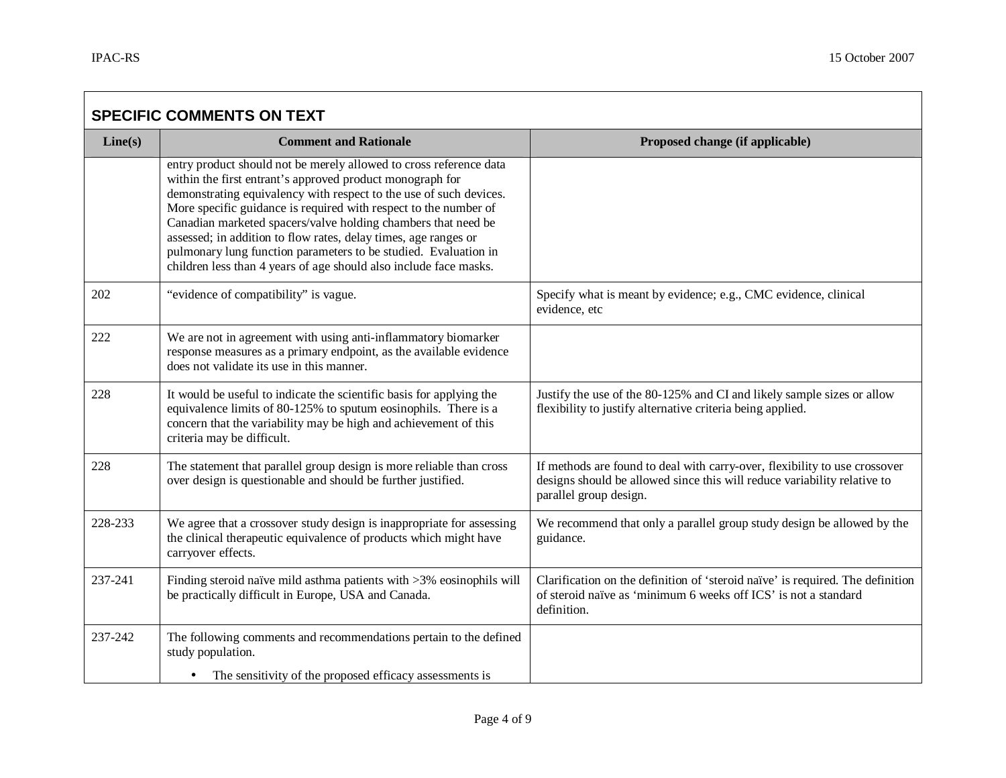$\Box$ 

┑

| <b>SPECIFIC COMMENTS ON TEXT</b> |                                                                                                                                                                                                                                                                                                                                                                                                                                                                                                                                                       |                                                                                                                                                                                  |
|----------------------------------|-------------------------------------------------------------------------------------------------------------------------------------------------------------------------------------------------------------------------------------------------------------------------------------------------------------------------------------------------------------------------------------------------------------------------------------------------------------------------------------------------------------------------------------------------------|----------------------------------------------------------------------------------------------------------------------------------------------------------------------------------|
| Line(s)                          | <b>Comment and Rationale</b>                                                                                                                                                                                                                                                                                                                                                                                                                                                                                                                          | Proposed change (if applicable)                                                                                                                                                  |
|                                  | entry product should not be merely allowed to cross reference data<br>within the first entrant's approved product monograph for<br>demonstrating equivalency with respect to the use of such devices.<br>More specific guidance is required with respect to the number of<br>Canadian marketed spacers/valve holding chambers that need be<br>assessed; in addition to flow rates, delay times, age ranges or<br>pulmonary lung function parameters to be studied. Evaluation in<br>children less than 4 years of age should also include face masks. |                                                                                                                                                                                  |
| 202                              | "evidence of compatibility" is vague.                                                                                                                                                                                                                                                                                                                                                                                                                                                                                                                 | Specify what is meant by evidence; e.g., CMC evidence, clinical<br>evidence, etc                                                                                                 |
| 222                              | We are not in agreement with using anti-inflammatory biomarker<br>response measures as a primary endpoint, as the available evidence<br>does not validate its use in this manner.                                                                                                                                                                                                                                                                                                                                                                     |                                                                                                                                                                                  |
| 228                              | It would be useful to indicate the scientific basis for applying the<br>equivalence limits of 80-125% to sputum eosinophils. There is a<br>concern that the variability may be high and achievement of this<br>criteria may be difficult.                                                                                                                                                                                                                                                                                                             | Justify the use of the 80-125% and CI and likely sample sizes or allow<br>flexibility to justify alternative criteria being applied.                                             |
| 228                              | The statement that parallel group design is more reliable than cross<br>over design is questionable and should be further justified.                                                                                                                                                                                                                                                                                                                                                                                                                  | If methods are found to deal with carry-over, flexibility to use crossover<br>designs should be allowed since this will reduce variability relative to<br>parallel group design. |
| 228-233                          | We agree that a crossover study design is inappropriate for assessing<br>the clinical therapeutic equivalence of products which might have<br>carryover effects.                                                                                                                                                                                                                                                                                                                                                                                      | We recommend that only a parallel group study design be allowed by the<br>guidance.                                                                                              |
| 237-241                          | Finding steroid naïve mild asthma patients with >3% eosinophils will<br>be practically difficult in Europe, USA and Canada.                                                                                                                                                                                                                                                                                                                                                                                                                           | Clarification on the definition of 'steroid naïve' is required. The definition<br>of steroid naïve as 'minimum 6 weeks off ICS' is not a standard<br>definition.                 |
| 237-242                          | The following comments and recommendations pertain to the defined<br>study population.                                                                                                                                                                                                                                                                                                                                                                                                                                                                |                                                                                                                                                                                  |
|                                  | The sensitivity of the proposed efficacy assessments is                                                                                                                                                                                                                                                                                                                                                                                                                                                                                               |                                                                                                                                                                                  |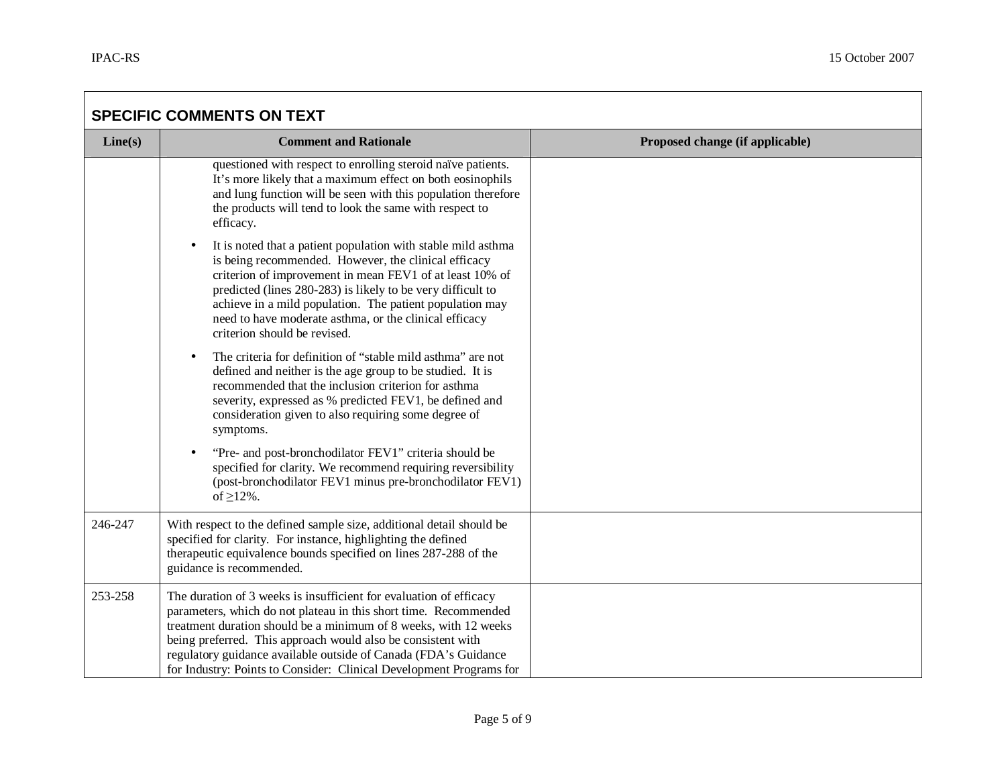| <b>SPECIFIC COMMENTS ON TEXT</b> |                                                                                                                                                                                                                                                                                                                                                                                                                      |                                 |
|----------------------------------|----------------------------------------------------------------------------------------------------------------------------------------------------------------------------------------------------------------------------------------------------------------------------------------------------------------------------------------------------------------------------------------------------------------------|---------------------------------|
| Line(s)                          | <b>Comment and Rationale</b>                                                                                                                                                                                                                                                                                                                                                                                         | Proposed change (if applicable) |
|                                  | questioned with respect to enrolling steroid naïve patients.<br>It's more likely that a maximum effect on both eosinophils<br>and lung function will be seen with this population therefore<br>the products will tend to look the same with respect to<br>efficacy.                                                                                                                                                  |                                 |
|                                  | It is noted that a patient population with stable mild asthma<br>$\bullet$<br>is being recommended. However, the clinical efficacy<br>criterion of improvement in mean FEV1 of at least 10% of<br>predicted (lines 280-283) is likely to be very difficult to<br>achieve in a mild population. The patient population may<br>need to have moderate asthma, or the clinical efficacy<br>criterion should be revised.  |                                 |
|                                  | The criteria for definition of "stable mild asthma" are not<br>defined and neither is the age group to be studied. It is<br>recommended that the inclusion criterion for asthma<br>severity, expressed as % predicted FEV1, be defined and<br>consideration given to also requiring some degree of<br>symptoms.                                                                                                      |                                 |
|                                  | "Pre- and post-bronchodilator FEV1" criteria should be<br>specified for clarity. We recommend requiring reversibility<br>(post-bronchodilator FEV1 minus pre-bronchodilator FEV1)<br>of $\geq$ 12%.                                                                                                                                                                                                                  |                                 |
| 246-247                          | With respect to the defined sample size, additional detail should be<br>specified for clarity. For instance, highlighting the defined<br>therapeutic equivalence bounds specified on lines 287-288 of the<br>guidance is recommended.                                                                                                                                                                                |                                 |
| 253-258                          | The duration of 3 weeks is insufficient for evaluation of efficacy<br>parameters, which do not plateau in this short time. Recommended<br>treatment duration should be a minimum of 8 weeks, with 12 weeks<br>being preferred. This approach would also be consistent with<br>regulatory guidance available outside of Canada (FDA's Guidance<br>for Industry: Points to Consider: Clinical Development Programs for |                                 |

the control of the control of the control of the control of the control of the control of the control of the control of the control of the control of the control of the control of the control of the control of the control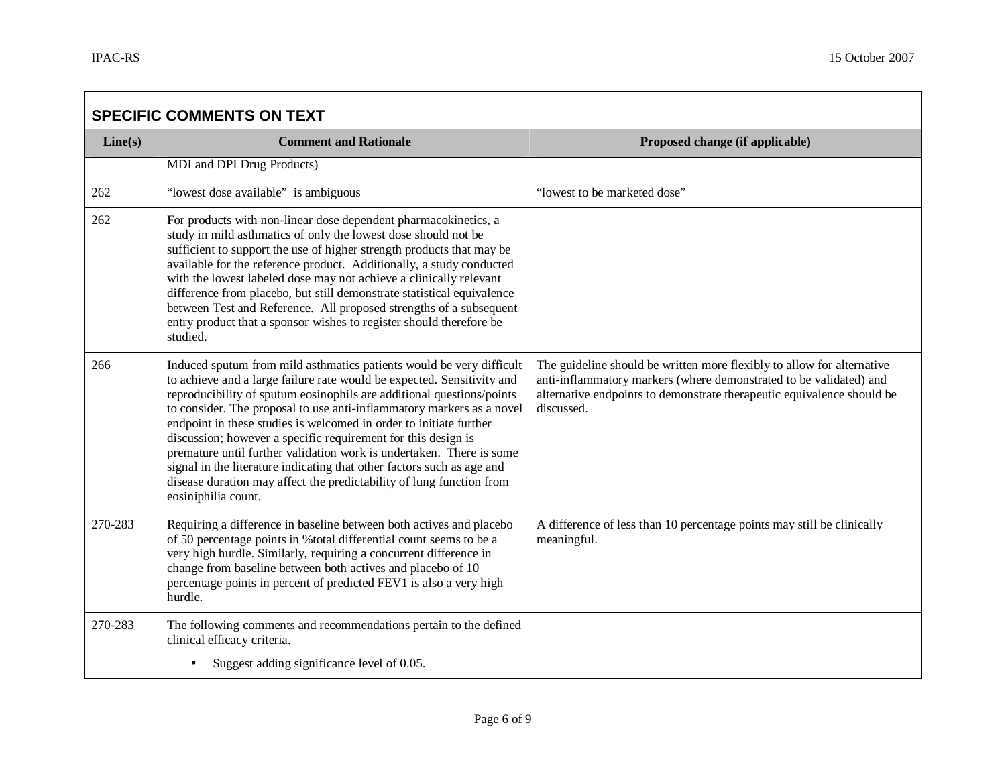$\sqrt{2}$ 

┑

| <b>SPECIFIC COMMENTS ON TEXT</b> |                                                                                                                                                                                                                                                                                                                                                                                                                                                                                                                                                                                                                                                                                          |                                                                                                                                                                                                                                      |
|----------------------------------|------------------------------------------------------------------------------------------------------------------------------------------------------------------------------------------------------------------------------------------------------------------------------------------------------------------------------------------------------------------------------------------------------------------------------------------------------------------------------------------------------------------------------------------------------------------------------------------------------------------------------------------------------------------------------------------|--------------------------------------------------------------------------------------------------------------------------------------------------------------------------------------------------------------------------------------|
| Line(s)                          | <b>Comment and Rationale</b>                                                                                                                                                                                                                                                                                                                                                                                                                                                                                                                                                                                                                                                             | Proposed change (if applicable)                                                                                                                                                                                                      |
|                                  | MDI and DPI Drug Products)                                                                                                                                                                                                                                                                                                                                                                                                                                                                                                                                                                                                                                                               |                                                                                                                                                                                                                                      |
| 262                              | "lowest dose available" is ambiguous                                                                                                                                                                                                                                                                                                                                                                                                                                                                                                                                                                                                                                                     | "lowest to be marketed dose"                                                                                                                                                                                                         |
| 262                              | For products with non-linear dose dependent pharmacokinetics, a<br>study in mild asthmatics of only the lowest dose should not be<br>sufficient to support the use of higher strength products that may be<br>available for the reference product. Additionally, a study conducted<br>with the lowest labeled dose may not achieve a clinically relevant<br>difference from placebo, but still demonstrate statistical equivalence<br>between Test and Reference. All proposed strengths of a subsequent<br>entry product that a sponsor wishes to register should therefore be<br>studied.                                                                                              |                                                                                                                                                                                                                                      |
| 266                              | Induced sputum from mild asthmatics patients would be very difficult<br>to achieve and a large failure rate would be expected. Sensitivity and<br>reproducibility of sputum eosinophils are additional questions/points<br>to consider. The proposal to use anti-inflammatory markers as a novel<br>endpoint in these studies is welcomed in order to initiate further<br>discussion; however a specific requirement for this design is<br>premature until further validation work is undertaken. There is some<br>signal in the literature indicating that other factors such as age and<br>disease duration may affect the predictability of lung function from<br>eosiniphilia count. | The guideline should be written more flexibly to allow for alternative<br>anti-inflammatory markers (where demonstrated to be validated) and<br>alternative endpoints to demonstrate therapeutic equivalence should be<br>discussed. |
| 270-283                          | Requiring a difference in baseline between both actives and placebo<br>of 50 percentage points in %total differential count seems to be a<br>very high hurdle. Similarly, requiring a concurrent difference in<br>change from baseline between both actives and placebo of 10<br>percentage points in percent of predicted FEV1 is also a very high<br>hurdle.                                                                                                                                                                                                                                                                                                                           | A difference of less than 10 percentage points may still be clinically<br>meaningful.                                                                                                                                                |
| 270-283                          | The following comments and recommendations pertain to the defined<br>clinical efficacy criteria.<br>Suggest adding significance level of 0.05.                                                                                                                                                                                                                                                                                                                                                                                                                                                                                                                                           |                                                                                                                                                                                                                                      |
|                                  |                                                                                                                                                                                                                                                                                                                                                                                                                                                                                                                                                                                                                                                                                          |                                                                                                                                                                                                                                      |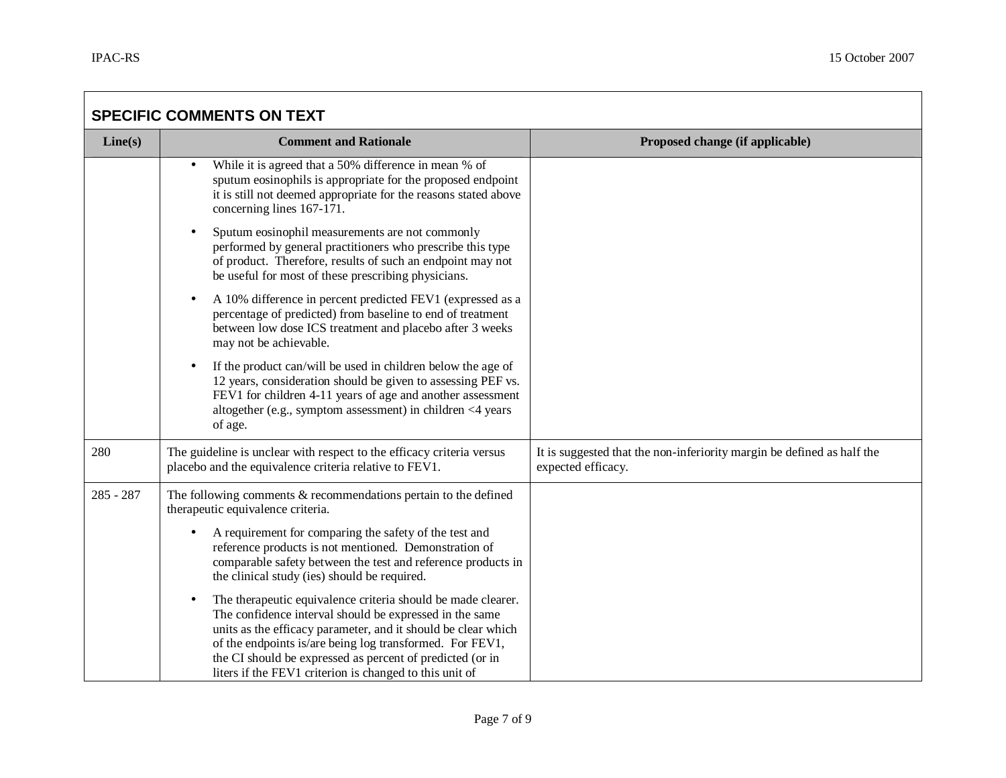| <b>SPECIFIC COMMENTS ON TEXT</b> |                                                                                                                                                                                                                                                                                                                                                                                           |                                                                                              |
|----------------------------------|-------------------------------------------------------------------------------------------------------------------------------------------------------------------------------------------------------------------------------------------------------------------------------------------------------------------------------------------------------------------------------------------|----------------------------------------------------------------------------------------------|
| Line(s)                          | <b>Comment and Rationale</b>                                                                                                                                                                                                                                                                                                                                                              | Proposed change (if applicable)                                                              |
|                                  | While it is agreed that a 50% difference in mean % of<br>$\bullet$<br>sputum eosinophils is appropriate for the proposed endpoint<br>it is still not deemed appropriate for the reasons stated above<br>concerning lines 167-171.                                                                                                                                                         |                                                                                              |
|                                  | Sputum eosinophil measurements are not commonly<br>$\bullet$<br>performed by general practitioners who prescribe this type<br>of product. Therefore, results of such an endpoint may not<br>be useful for most of these prescribing physicians.                                                                                                                                           |                                                                                              |
|                                  | A 10% difference in percent predicted FEV1 (expressed as a<br>$\bullet$<br>percentage of predicted) from baseline to end of treatment<br>between low dose ICS treatment and placebo after 3 weeks<br>may not be achievable.                                                                                                                                                               |                                                                                              |
|                                  | If the product can/will be used in children below the age of<br>$\bullet$<br>12 years, consideration should be given to assessing PEF vs.<br>FEV1 for children 4-11 years of age and another assessment<br>altogether (e.g., symptom assessment) in children $\leq 4$ years<br>of age.                                                                                                    |                                                                                              |
| 280                              | The guideline is unclear with respect to the efficacy criteria versus<br>placebo and the equivalence criteria relative to FEV1.                                                                                                                                                                                                                                                           | It is suggested that the non-inferiority margin be defined as half the<br>expected efficacy. |
| $285 - 287$                      | The following comments $&$ recommendations pertain to the defined<br>therapeutic equivalence criteria.                                                                                                                                                                                                                                                                                    |                                                                                              |
|                                  | A requirement for comparing the safety of the test and<br>reference products is not mentioned. Demonstration of<br>comparable safety between the test and reference products in<br>the clinical study (ies) should be required.                                                                                                                                                           |                                                                                              |
|                                  | The therapeutic equivalence criteria should be made clearer.<br>$\bullet$<br>The confidence interval should be expressed in the same<br>units as the efficacy parameter, and it should be clear which<br>of the endpoints is/are being log transformed. For FEV1,<br>the CI should be expressed as percent of predicted (or in<br>liters if the FEV1 criterion is changed to this unit of |                                                                                              |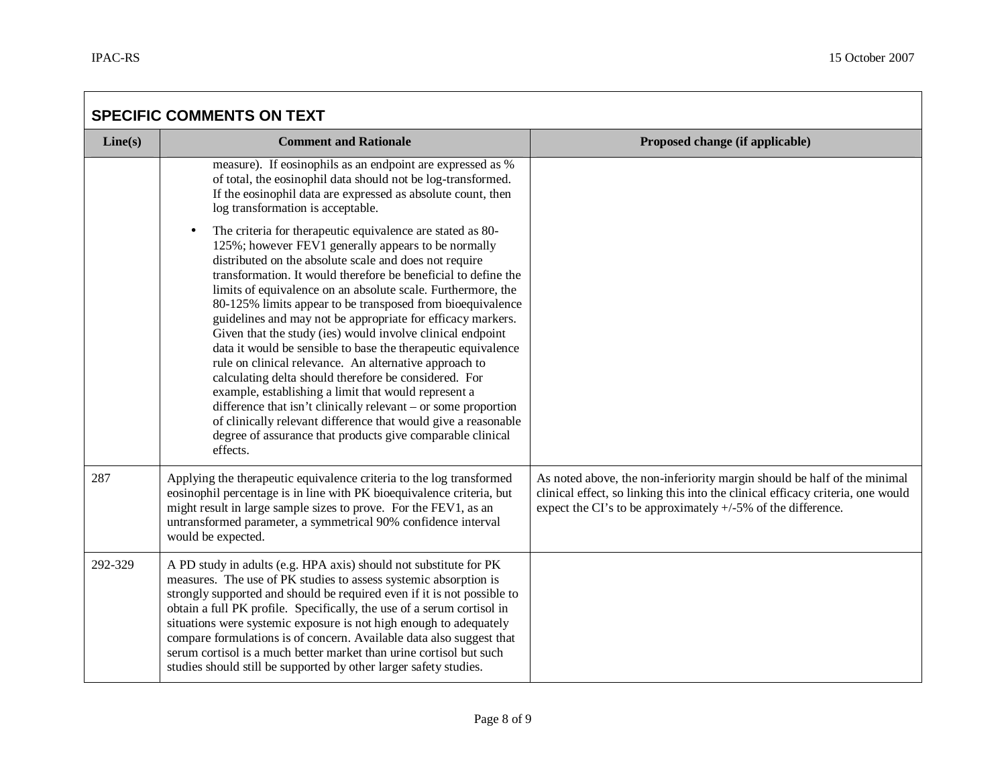| <b>SPECIFIC COMMENTS ON TEXT</b> |                                                                                                                                                                                                                                                                                                                                                                                                                                                                                                                                                                                                                                                                                                                                                                                                                                                                                                                                                                                 |                                                                                                                                                                                                                                |
|----------------------------------|---------------------------------------------------------------------------------------------------------------------------------------------------------------------------------------------------------------------------------------------------------------------------------------------------------------------------------------------------------------------------------------------------------------------------------------------------------------------------------------------------------------------------------------------------------------------------------------------------------------------------------------------------------------------------------------------------------------------------------------------------------------------------------------------------------------------------------------------------------------------------------------------------------------------------------------------------------------------------------|--------------------------------------------------------------------------------------------------------------------------------------------------------------------------------------------------------------------------------|
| Line(s)                          | <b>Comment and Rationale</b>                                                                                                                                                                                                                                                                                                                                                                                                                                                                                                                                                                                                                                                                                                                                                                                                                                                                                                                                                    | Proposed change (if applicable)                                                                                                                                                                                                |
|                                  | measure). If eosinophils as an endpoint are expressed as %<br>of total, the eosinophil data should not be log-transformed.<br>If the eosinophil data are expressed as absolute count, then<br>log transformation is acceptable.                                                                                                                                                                                                                                                                                                                                                                                                                                                                                                                                                                                                                                                                                                                                                 |                                                                                                                                                                                                                                |
|                                  | The criteria for therapeutic equivalence are stated as 80-<br>$\bullet$<br>125%; however FEV1 generally appears to be normally<br>distributed on the absolute scale and does not require<br>transformation. It would therefore be beneficial to define the<br>limits of equivalence on an absolute scale. Furthermore, the<br>80-125% limits appear to be transposed from bioequivalence<br>guidelines and may not be appropriate for efficacy markers.<br>Given that the study (ies) would involve clinical endpoint<br>data it would be sensible to base the therapeutic equivalence<br>rule on clinical relevance. An alternative approach to<br>calculating delta should therefore be considered. For<br>example, establishing a limit that would represent a<br>difference that isn't clinically relevant – or some proportion<br>of clinically relevant difference that would give a reasonable<br>degree of assurance that products give comparable clinical<br>effects. |                                                                                                                                                                                                                                |
| 287                              | Applying the therapeutic equivalence criteria to the log transformed<br>eosinophil percentage is in line with PK bioequivalence criteria, but<br>might result in large sample sizes to prove. For the FEV1, as an<br>untransformed parameter, a symmetrical 90% confidence interval<br>would be expected.                                                                                                                                                                                                                                                                                                                                                                                                                                                                                                                                                                                                                                                                       | As noted above, the non-inferiority margin should be half of the minimal<br>clinical effect, so linking this into the clinical efficacy criteria, one would<br>expect the CI's to be approximately $+/-5\%$ of the difference. |
| 292-329                          | A PD study in adults (e.g. HPA axis) should not substitute for PK<br>measures. The use of PK studies to assess systemic absorption is<br>strongly supported and should be required even if it is not possible to<br>obtain a full PK profile. Specifically, the use of a serum cortisol in<br>situations were systemic exposure is not high enough to adequately<br>compare formulations is of concern. Available data also suggest that<br>serum cortisol is a much better market than urine cortisol but such<br>studies should still be supported by other larger safety studies.                                                                                                                                                                                                                                                                                                                                                                                            |                                                                                                                                                                                                                                |

and the control of the control of the control of the control of the control of the control of the control of the